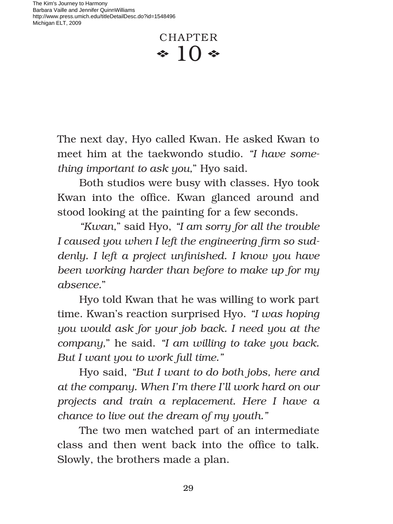The Kim's Journey to Harmony Barbara Vaille and Jennifer QuinnWilliams http://www.press.umich.edu/titleDetailDesc.do?id=1548496 Michigan ELT, 2009

> CHAPTER  $\cdot 10 \cdot$

The next day, Hyo called Kwan. He asked Kwan to meet him at the taekwondo studio. *"I have something important to ask you,*" Hyo said.

Both studios were busy with classes. Hyo took Kwan into the office. Kwan glanced around and stood looking at the painting for a few seconds.

*"Kwan,*" said Hyo, *"I am sorry for all the trouble* I caused you when I left the engineering firm so sud*denly. I left a project unfinished. I know you have been working harder than before to make up for my absence.*"

Hyo told Kwan that he was willing to work part time. Kwan's reaction surprised Hyo. *"I was hoping you would ask for your job back. I need you at the company,*" he said. *"I am willing to take you back. But I want you to work full time."* 

Hyo said, *"But I want to do both jobs, here and at the company. When I'm there I'll work hard on our projects and train a replacement. Here I have a chance to live out the dream of my youth."* 

The two men watched part of an intermediate class and then went back into the office to talk. Slowly, the brothers made a plan.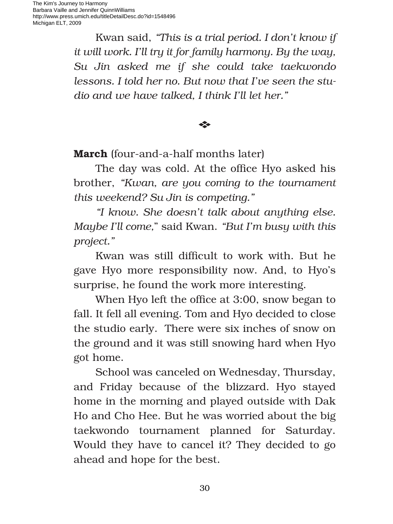Kwan said, *"This is a trial period. I don't know if it will work. I'll try it for family harmony. By the way, Su Jin asked me if she could take taekwondo lessons. I told her no. But now that I've seen the studio and we have talked, I think I'll let her."*

E

**March** (four-and-a-half months later)

The day was cold. At the office Hyo asked his brother, *"Kwan, are you coming to the tournament this weekend? Su Jin is competing."*

*"I know. She doesn't talk about anything else. Maybe I'll come,*" said Kwan. *"But I'm busy with this project."*

Kwan was still difficult to work with. But he gave Hyo more responsibility now. And, to Hyo's surprise, he found the work more interesting.

When Hyo left the office at 3:00, snow began to fall. It fell all evening. Tom and Hyo decided to close the studio early. There were six inches of snow on the ground and it was still snowing hard when Hyo got home.

School was canceled on Wednesday, Thursday, and Friday because of the blizzard. Hyo stayed home in the morning and played outside with Dak Ho and Cho Hee. But he was worried about the big taekwondo tournament planned for Saturday. Would they have to cancel it? They decided to go ahead and hope for the best.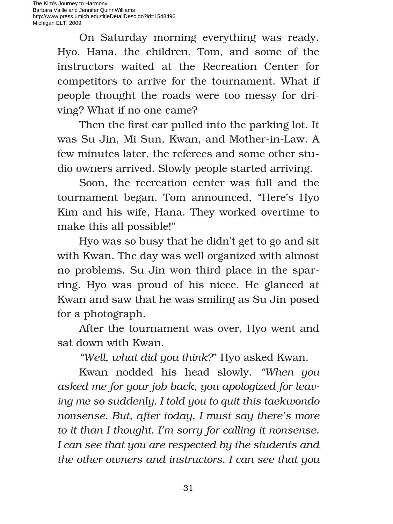The Kim's Journey to Harmony Barbara Vaille and Jennifer QuinnWilliams http://www.press.umich.edu/titleDetailDesc.do?id=1548496 Michigan ELT, 2009

> On Saturday morning everything was ready. Hyo, Hana, the children, Tom, and some of the instructors waited at the Recreation Center for competitors to arrive for the tournament. What if people thought the roads were too messy for driving? What if no one came?

> Then the first car pulled into the parking lot. It was Su Jin, Mi Sun, Kwan, and Mother-in-Law. A few minutes later, the referees and some other studio owners arrived. Slowly people started arriving.

> Soon, the recreation center was full and the tournament began. Tom announced, "Here's Hyo Kim and his wife, Hana. They worked overtime to make this all possible!"

> Hyo was so busy that he didn't get to go and sit with Kwan. The day was well organized with almost no problems. Su Jin won third place in the sparring. Hyo was proud of his niece. He glanced at Kwan and saw that he was smiling as Su Jin posed for a photograph.

> After the tournament was over, Hyo went and sat down with Kwan.

*"Well, what did you think?*" Hyo asked Kwan.

Kwan nodded his head slowly. *"When you asked me for your job back, you apologized for leaving me so suddenly. I told you to quit this taekwondo nonsense. But, after today, I must say there's more to it than I thought. I'm sorry for calling it nonsense. I can see that you are respected by the students and the other owners and instructors. I can see that you*